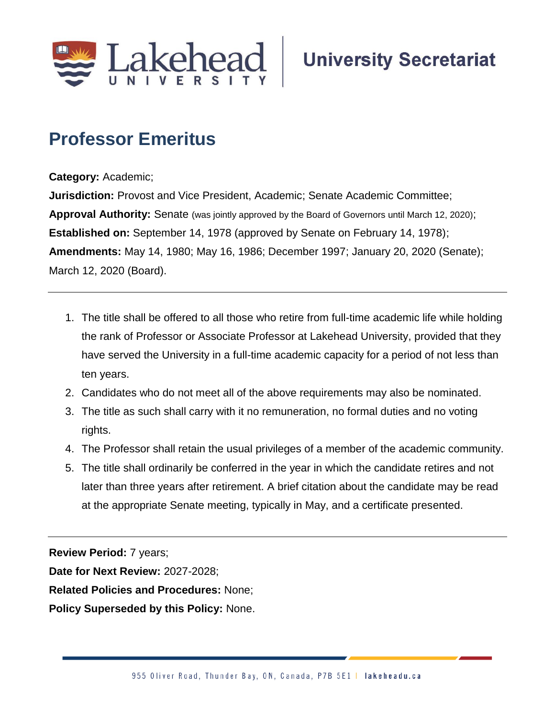

## **Professor Emeritus**

**Category:** Academic;

**Jurisdiction:** Provost and Vice President, Academic; Senate Academic Committee; **Approval Authority:** Senate (was jointly approved by the Board of Governors until March 12, 2020); **Established on:** September 14, 1978 (approved by Senate on February 14, 1978); **Amendments:** May 14, 1980; May 16, 1986; December 1997; January 20, 2020 (Senate); March 12, 2020 (Board).

- 1. The title shall be offered to all those who retire from full-time academic life while holding the rank of Professor or Associate Professor at Lakehead University, provided that they have served the University in a full-time academic capacity for a period of not less than ten years.
- 2. Candidates who do not meet all of the above requirements may also be nominated.
- 3. The title as such shall carry with it no remuneration, no formal duties and no voting rights.
- 4. The Professor shall retain the usual privileges of a member of the academic community.
- 5. The title shall ordinarily be conferred in the year in which the candidate retires and not later than three years after retirement. A brief citation about the candidate may be read at the appropriate Senate meeting, typically in May, and a certificate presented.

**Review Period:** 7 years;

**Date for Next Review:** 2027-2028;

**Related Policies and Procedures:** None;

**Policy Superseded by this Policy:** None.